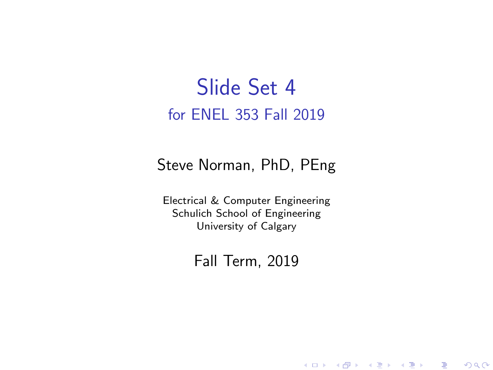#### Slide Set 4 for ENEL 353 Fall 2019

#### Steve Norman, PhD, PEng

Electrical & Computer Engineering Schulich School of Engineering University of Calgary

#### Fall Term, 2019

メロメ メ御メ メ君メ メ君メー

一番

 $2Q$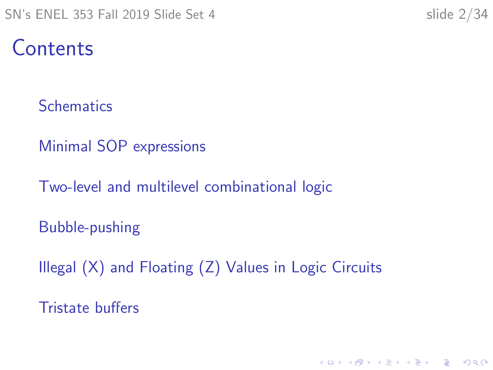#### **Contents**

**[Schematics](#page-2-0)** 

[Minimal SOP expressions](#page-9-0)

[Two-level and multilevel combinational logic](#page-12-0)

[Bubble-pushing](#page-17-0)

[Illegal \(X\) and Floating \(Z\) Values in Logic Circuits](#page-22-0)

[Tristate buffers](#page-30-0)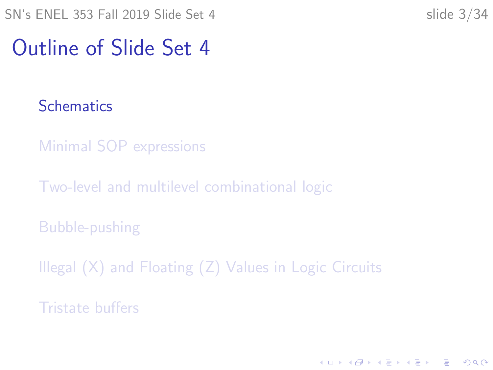## <span id="page-2-0"></span>Outline of Slide Set 4

**[Schematics](#page-2-0)** 

[Minimal SOP expressions](#page-9-0)

[Two-level and multilevel combinational logic](#page-12-0)

[Bubble-pushing](#page-17-0)

[Illegal \(X\) and Floating \(Z\) Values in Logic Circuits](#page-22-0)

[Tristate buffers](#page-30-0)

K ロ ▶ K 個 ▶ K 할 ▶ K 할 ▶ 이 할 → 이익 @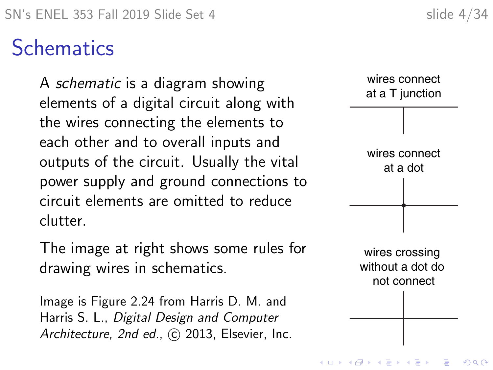## **Schematics**

A schematic is a diagram showing elements of a digital circuit along with the wires connecting the elements to each other and to overall inputs and outputs of the circuit. Usually the vital power supply and ground connections to circuit elements are omitted to reduce clutter.

The image at right shows some rules for drawing wires in schematics.

Image is Figure 2.24 from Harris D. M. and Harris S. L., Digital Design and Computer Architecture, 2nd ed., C 2013, Elsevier, Inc.

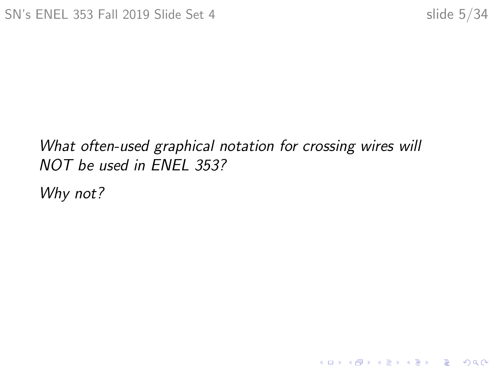KOKK@KKEKKEK E 1990

#### What often-used graphical notation for crossing wires will NOT be used in ENEL 353?

Why not?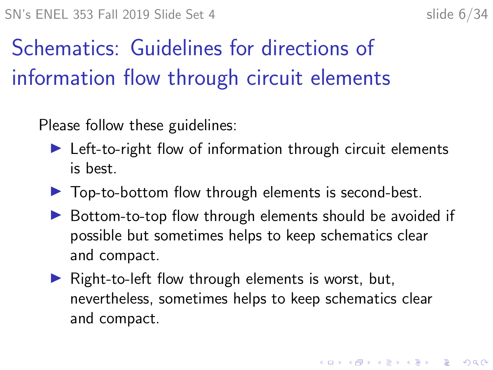# Schematics: Guidelines for directions of information flow through circuit elements

Please follow these guidelines:

- $\blacktriangleright$  Left-to-right flow of information through circuit elements is best.
- $\triangleright$  Top-to-bottom flow through elements is second-best.
- $\triangleright$  Bottom-to-top flow through elements should be avoided if possible but sometimes helps to keep schematics clear and compact.
- $\triangleright$  Right-to-left flow through elements is worst, but, nevertheless, sometimes helps to keep schematics clear and compact.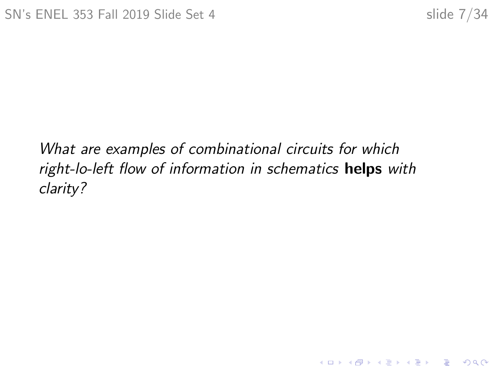K ロ ▶ K 레 ▶ K 코 ▶ K 코 ▶ 『코 │ ◆ 9 Q Q ↓

What are examples of combinational circuits for which right-lo-left flow of information in schematics helps with clarity?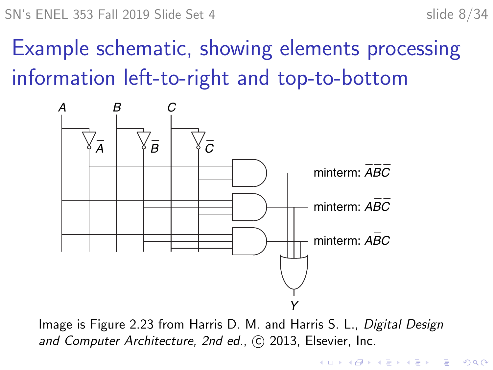# Example schematic, showing elements processing information left-to-right and top-to-bottom



Image is Figure 2.23 from Harris D. M. and Harris S. L., Digital Design and Computer Architecture, 2nd ed., C 2013, Elsevier, Inc.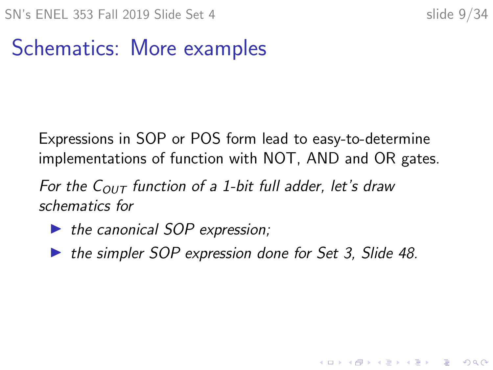**KORKARYKERKER POLO** 

# Schematics: More examples

Expressions in SOP or POS form lead to easy-to-determine implementations of function with NOT, AND and OR gates.

For the  $C_{OUT}$  function of a 1-bit full adder, let's draw schematics for

- $\blacktriangleright$  the canonical SOP expression;
- $\triangleright$  the simpler SOP expression done for Set 3, Slide 48.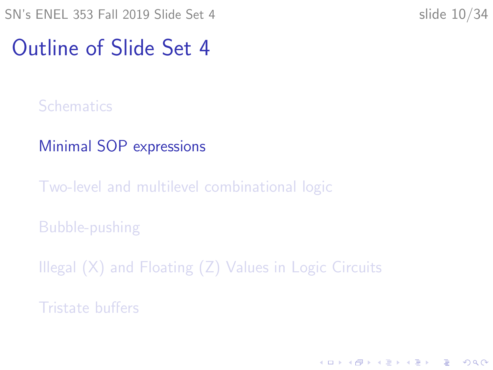## <span id="page-9-0"></span>Outline of Slide Set 4

**[Schematics](#page-2-0)** 

[Minimal SOP expressions](#page-9-0)

[Two-level and multilevel combinational logic](#page-12-0)

[Bubble-pushing](#page-17-0)

[Illegal \(X\) and Floating \(Z\) Values in Logic Circuits](#page-22-0)

[Tristate buffers](#page-30-0)

K ロ ▶ K 個 ▶ K 할 ▶ K 할 ▶ 이 할 → 이익 @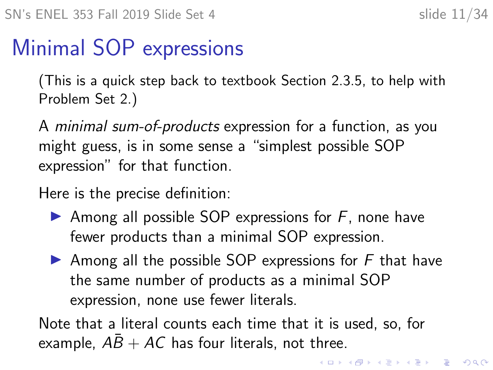#### Minimal SOP expressions

(This is a quick step back to textbook Section 2.3.5, to help with Problem Set 2.)

A minimal sum-of-products expression for a function, as you might guess, is in some sense a "simplest possible SOP expression" for that function.

Here is the precise definition:

- Among all possible SOP expressions for  $F$ , none have fewer products than a minimal SOP expression.
- $\blacktriangleright$  Among all the possible SOP expressions for F that have the same number of products as a minimal SOP expression, none use fewer literals.

Note that a literal counts each time that it is used, so, for example,  $AB + AC$  has four literals, not three.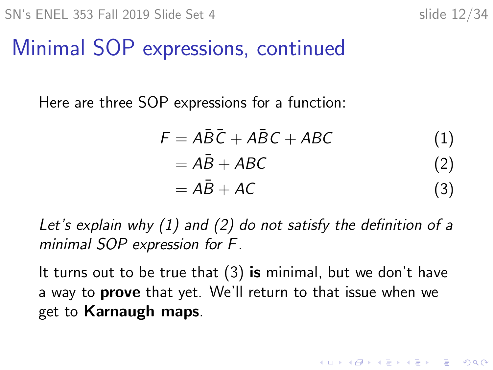## Minimal SOP expressions, continued

Here are three SOP expressions for a function:

<span id="page-11-2"></span><span id="page-11-1"></span><span id="page-11-0"></span>
$$
F = A\overline{B}\overline{C} + A\overline{B}C + ABC
$$
(1)  
=  $A\overline{B} + ABC$  (2)  
=  $A\overline{B} + AC$  (3)

Let's explain why [\(1\)](#page-11-0) and [\(2\)](#page-11-1) do not satisfy the definition of a minimal SOP expression for F.

It turns out to be true that  $(3)$  is minimal, but we don't have a way to **prove** that yet. We'll return to that issue when we get to Karnaugh maps.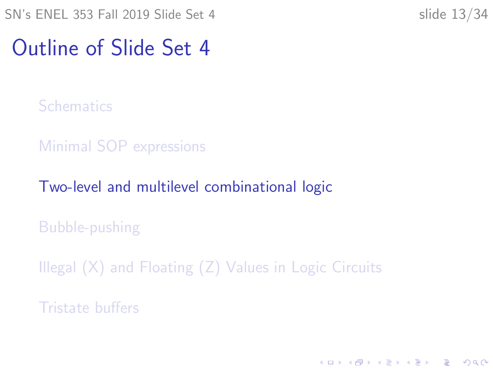## <span id="page-12-0"></span>Outline of Slide Set 4

**[Schematics](#page-2-0)** 

[Minimal SOP expressions](#page-9-0)

[Two-level and multilevel combinational logic](#page-12-0)

[Bubble-pushing](#page-17-0)

[Illegal \(X\) and Floating \(Z\) Values in Logic Circuits](#page-22-0)

[Tristate buffers](#page-30-0)

K ロ ▶ K 個 ▶ K 할 ▶ K 할 ▶ 이 할 → 9 Q Q →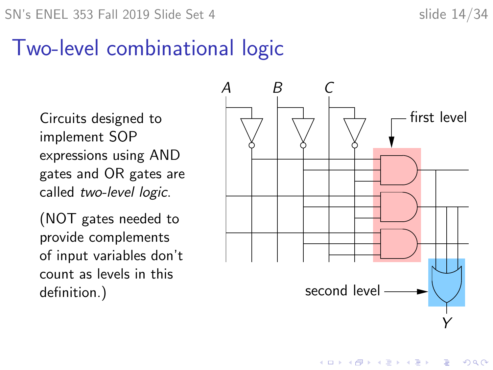#### Two-level combinational logic

Circuits designed to implement SOP expressions using AND gates and OR gates are called two-level logic.

(NOT gates needed to provide complements of input variables don't count as levels in this



 $\mathbf{E} = \mathbf{A} \oplus \mathbf{A} + \mathbf{A} \oplus \mathbf{A} + \mathbf{A} \oplus \mathbf{A} + \mathbf{A} \oplus \mathbf{A} + \mathbf{A} \oplus \mathbf{A} + \mathbf{A} \oplus \mathbf{A} + \mathbf{A} \oplus \mathbf{A} + \mathbf{A} \oplus \mathbf{A} + \mathbf{A} \oplus \mathbf{A} + \mathbf{A} \oplus \mathbf{A} + \mathbf{A} \oplus \mathbf{A} + \mathbf{A} \oplus \mathbf{A} + \mathbf{A} \oplus \mathbf{A} + \mathbf{A$ 

 $2990$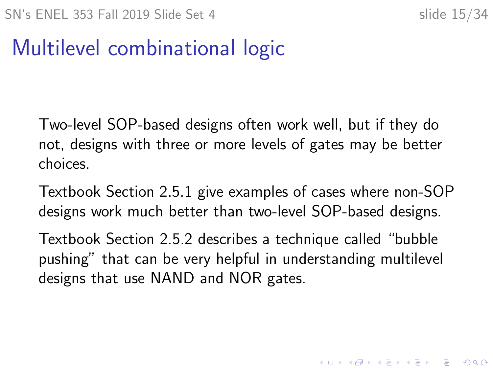# Multilevel combinational logic

Two-level SOP-based designs often work well, but if they do not, designs with three or more levels of gates may be better choices.

Textbook Section 2.5.1 give examples of cases where non-SOP designs work much better than two-level SOP-based designs.

Textbook Section 2.5.2 describes a technique called "bubble pushing" that can be very helpful in understanding multilevel designs that use NAND and NOR gates.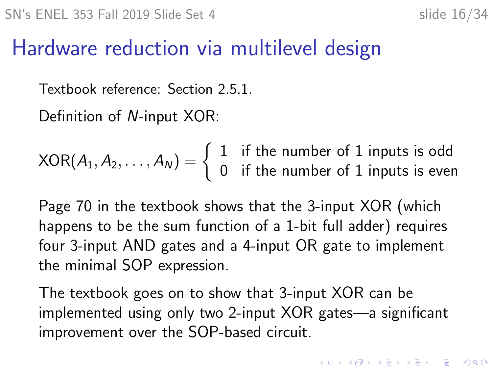#### Hardware reduction via multilevel design

Textbook reference: Section 2.5.1.

Definition of N-input XOR:

 $XOR(A_1, A_2, \ldots, A_N) = \begin{cases} 1 & \text{if the number of 1 inputs is odd} \\ 0 & \text{if the number of 1 inputs is even} \end{cases}$ 0 if the number of 1 inputs is even

Page 70 in the textbook shows that the 3-input XOR (which happens to be the sum function of a 1-bit full adder) requires four 3-input AND gates and a 4-input OR gate to implement the minimal SOP expression.

The textbook goes on to show that 3-input XOR can be implemented using only two 2-input XOR gates—a significant improvement over the SOP-based circuit.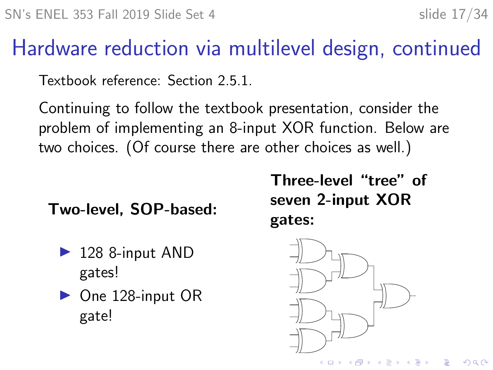# Hardware reduction via multilevel design, continued

Textbook reference: Section 2.5.1.

Continuing to follow the textbook presentation, consider the problem of implementing an 8-input XOR function. Below are two choices. (Of course there are other choices as well.)

Two-level, SOP-based:

- $\blacktriangleright$  128 8-input AND gates!
- $\triangleright$  One 128-input OR gate!

Three-level "tree" of seven 2-input XOR

gates:



 $2990$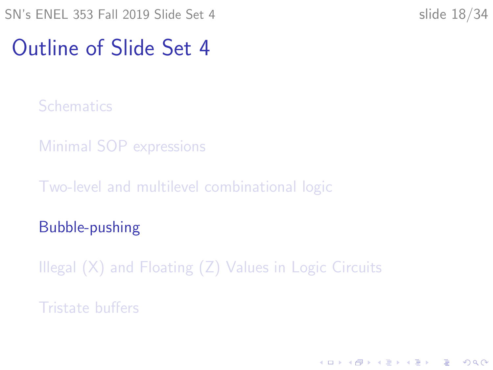## <span id="page-17-0"></span>Outline of Slide Set 4

**[Schematics](#page-2-0)** 

[Minimal SOP expressions](#page-9-0)

[Two-level and multilevel combinational logic](#page-12-0)

[Bubble-pushing](#page-17-0)

[Illegal \(X\) and Floating \(Z\) Values in Logic Circuits](#page-22-0)

[Tristate buffers](#page-30-0)

K ロ ▶ K 個 ▶ K 할 ▶ K 할 ▶ 이 할 → 이익 @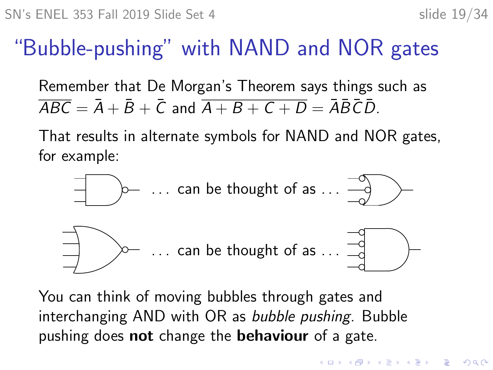# "Bubble-pushing" with NAND and NOR gates

Remember that De Morgan's Theorem says things such as  $\overline{ABC} = \overline{A} + \overline{B} + \overline{C}$  and  $\overline{A + B + C + D} = \overline{A}\overline{B}\overline{C}\overline{D}$ .

That results in alternate symbols for NAND and NOR gates, for example:



You can think of moving bubbles through gates and interchanging AND with OR as bubble pushing. Bubble pushing does not change the behaviour of a gate.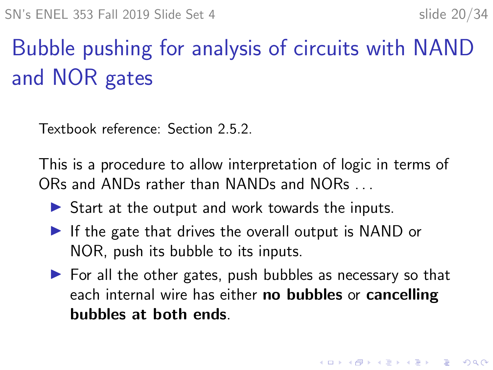4 0 > 4 4 + 4 = + 4 = + = + + 0 4 0 +

# Bubble pushing for analysis of circuits with NAND and NOR gates

Textbook reference: Section 2.5.2.

This is a procedure to allow interpretation of logic in terms of ORs and ANDs rather than NANDs and NORs . . .

- $\triangleright$  Start at the output and work towards the inputs.
- $\blacktriangleright$  If the gate that drives the overall output is NAND or NOR, push its bubble to its inputs.
- $\triangleright$  For all the other gates, push bubbles as necessary so that each internal wire has either no bubbles or cancelling bubbles at both ends.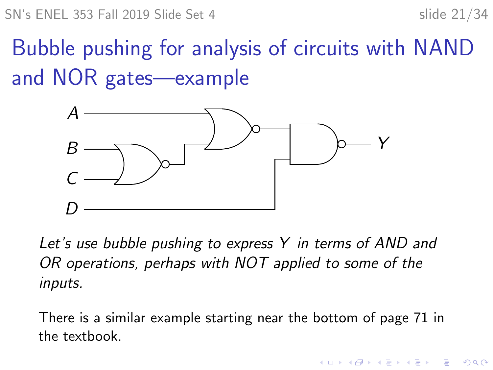**KORK EXTERNE PROVIDE** 

# Bubble pushing for analysis of circuits with NAND and NOR gates—example



Let's use bubble pushing to express Y in terms of AND and OR operations, perhaps with NOT applied to some of the inputs.

There is a similar example starting near the bottom of page 71 in the textbook.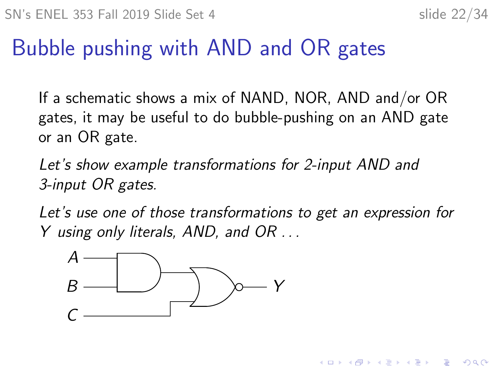**KORK EXTERNE PROVIDE** 

## Bubble pushing with AND and OR gates

If a schematic shows a mix of NAND, NOR, AND and/or OR gates, it may be useful to do bubble-pushing on an AND gate or an OR gate.

Let's show example transformations for 2-input AND and 3-input OR gates.

Let's use one of those transformations to get an expression for Y using only literals, AND, and OR . . .

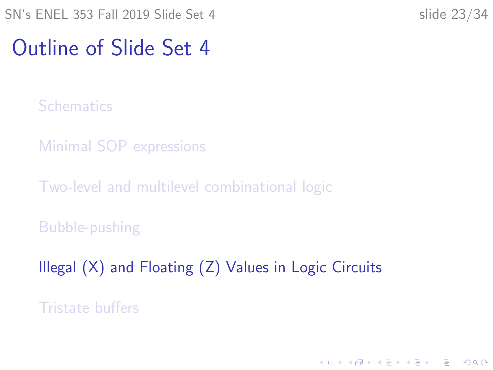## <span id="page-22-0"></span>Outline of Slide Set 4

**[Schematics](#page-2-0)** 

[Minimal SOP expressions](#page-9-0)

[Two-level and multilevel combinational logic](#page-12-0)

[Bubble-pushing](#page-17-0)

[Illegal \(X\) and Floating \(Z\) Values in Logic Circuits](#page-22-0)

[Tristate buffers](#page-30-0)

K ロ ▶ K 個 ▶ K 할 ▶ K 할 ▶ 이 할 → 이익 @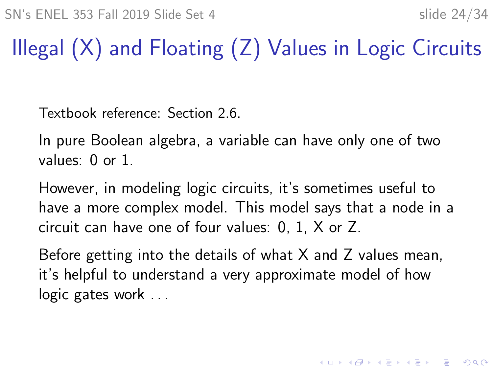# Illegal (X) and Floating (Z) Values in Logic Circuits

Textbook reference: Section 2.6.

In pure Boolean algebra, a variable can have only one of two values: 0 or 1.

However, in modeling logic circuits, it's sometimes useful to have a more complex model. This model says that a node in a circuit can have one of four values: 0, 1, X or Z.

Before getting into the details of what X and Z values mean, it's helpful to understand a very approximate model of how logic gates work ...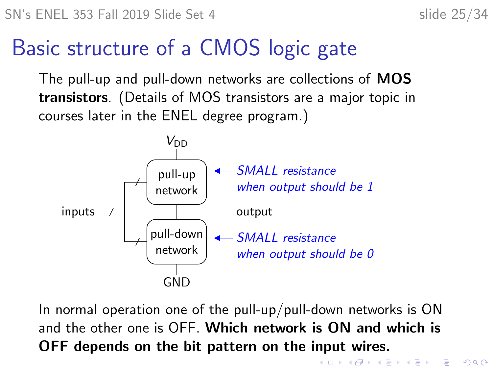## Basic structure of a CMOS logic gate

The pull-up and pull-down networks are collections of MOS transistors. (Details of MOS transistors are a major topic in courses later in the ENEL degree program.)



In normal operation one of the pull-up/pull-down networks is ON and the other one is OFF. Which network is ON and which is OFF depends on the bit pattern on the input wires.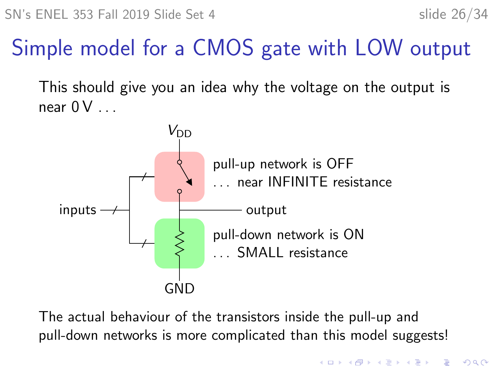**KORKARYKERKER POLO** 

# Simple model for a CMOS gate with LOW output

This should give you an idea why the voltage on the output is near  $0 \vee \ldots$ 



The actual behaviour of the transistors inside the pull-up and pull-down networks is more complicated than this model suggests!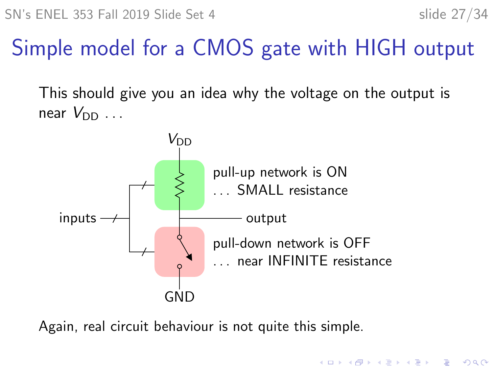**KORKARYKERKER POLO** 

# Simple model for a CMOS gate with HIGH output

This should give you an idea why the voltage on the output is near  $V_{\text{DD}}$  ...



Again, real circuit behaviour is not quite this simple.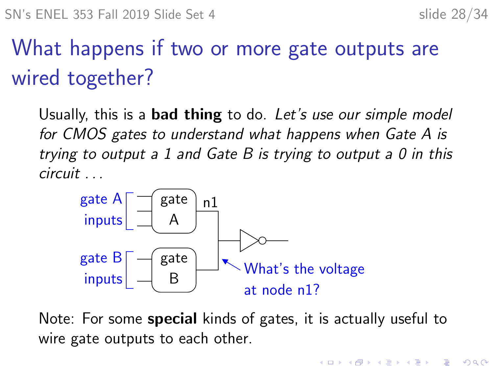$\mathbf{E} = \mathbf{A} \oplus \mathbf{B} + \mathbf{A} \oplus \mathbf{B} + \mathbf{A} \oplus \mathbf{B} + \mathbf{A} \oplus \mathbf{A}$ 

 $2990$ 

# What happens if two or more gate outputs are wired together?

Usually, this is a **bad thing** to do. Let's use our simple model for CMOS gates to understand what happens when Gate A is trying to output a 1 and Gate B is trying to output a 0 in this circuit . . .



Note: For some special kinds of gates, it is actually useful to wire gate outputs to each other.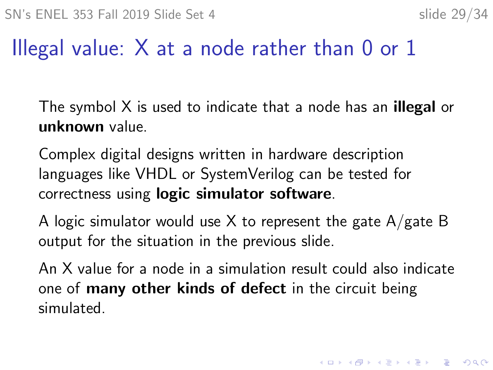#### Illegal value:  $X$  at a node rather than 0 or 1

The symbol X is used to indicate that a node has an **illegal** or unknown value.

Complex digital designs written in hardware description languages like VHDL or SystemVerilog can be tested for correctness using logic simulator software.

A logic simulator would use X to represent the gate  $A/g$ ate B output for the situation in the previous slide.

An X value for a node in a simulation result could also indicate one of many other kinds of defect in the circuit being simulated.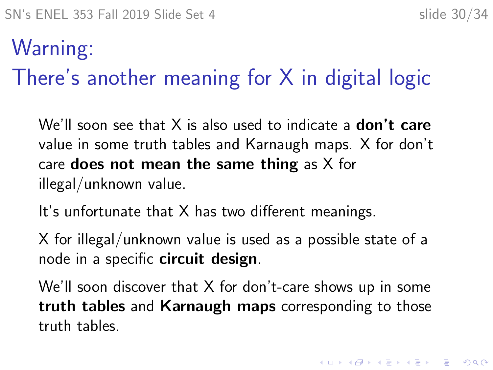# Warning: There's another meaning for X in digital logic

We'll soon see that X is also used to indicate a **don't care** value in some truth tables and Karnaugh maps. X for don't care **does not mean the same thing** as  $X$  for illegal/unknown value.

It's unfortunate that X has two different meanings.

X for illegal/unknown value is used as a possible state of a node in a specific **circuit design**.

We'll soon discover that X for don't-care shows up in some truth tables and Karnaugh maps corresponding to those truth tables.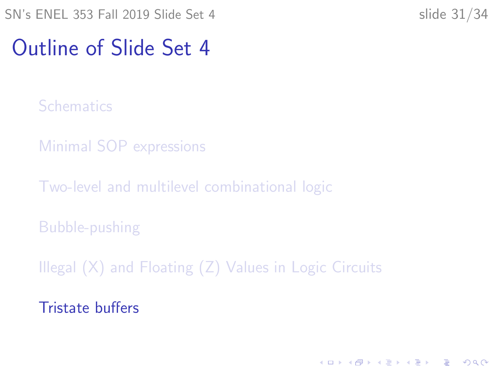## <span id="page-30-0"></span>Outline of Slide Set 4

**[Schematics](#page-2-0)** 

[Minimal SOP expressions](#page-9-0)

[Two-level and multilevel combinational logic](#page-12-0)

[Bubble-pushing](#page-17-0)

[Illegal \(X\) and Floating \(Z\) Values in Logic Circuits](#page-22-0)

[Tristate buffers](#page-30-0)

K ロ ▶ K 個 ▶ K 할 ▶ K 할 ▶ 이 할 → 이익 @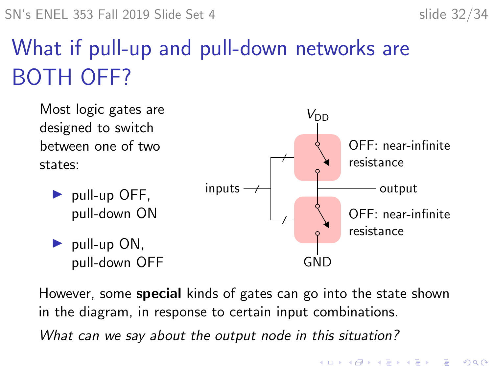$\mathbf{E} = \mathbf{A} \oplus \mathbf{B} + \mathbf{A} \oplus \mathbf{B} + \mathbf{A} \oplus \mathbf{B} + \mathbf{A} \oplus \mathbf{A}$ 

 $2990$ 

# What if pull-up and pull-down networks are BOTH OFF?



However, some **special** kinds of gates can go into the state shown in the diagram, in response to certain input combinations. What can we say about the output node in this situation?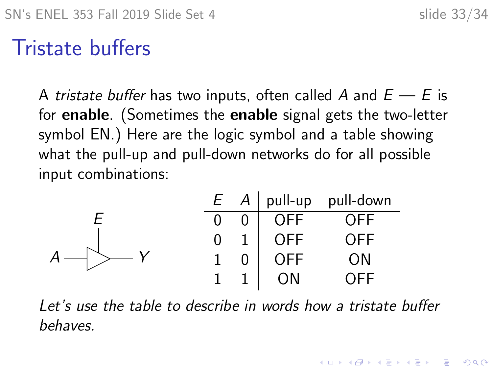## Tristate buffers

A tristate buffer has two inputs, often called A and  $E \rightarrow E$  is for enable. (Sometimes the enable signal gets the two-letter symbol EN.) Here are the logic symbol and a table showing what the pull-up and pull-down networks do for all possible input combinations:

|   |            | $E \cap A$ pull-up pull-down |
|---|------------|------------------------------|
| 0 | <b>OFF</b> | OFF                          |
| 0 | <b>OFF</b> | OFF                          |
|   | <b>OFF</b> | ΟN                           |
|   | ЭN         |                              |

Let's use the table to describe in words how a tristate buffer behaves.